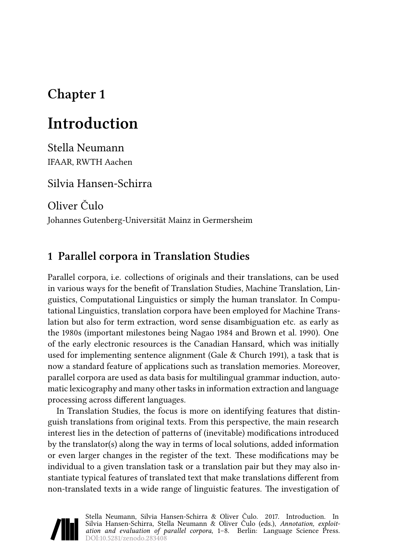## **Chapter 1**

# **Introduction**

Stella Neumann IFAAR, RWTH Aachen

Silvia Hansen-Schirra

Oliver Čulo

Johannes Gutenberg-Universität Mainz in Germersheim

### **1 Parallel corpora in Translation Studies**

Parallel corpora, i.e. collections of originals and their translations, can be used in various ways for the benefit of Translation Studies, Machine Translation, Linguistics, Computational Linguistics or simply the human translator. In Computational Linguistics, translation corpora have been employed for Machine Translation but also for term extraction, word sense disambiguation etc. as early as the 1980s (important milestones being [Nagao 1984](#page-5-0) and [Brown et al. 1990](#page-5-1)). One of the early electronic resources is the Canadian Hansard, which was initially used for implementing sentence alignment([Gale & Church 1991\)](#page-5-2), a task that is now a standard feature of applications such as translation memories. Moreover, parallel corpora are used as data basis for multilingual grammar induction, automatic lexicography and many other tasks in information extraction and language processing across different languages.

In Translation Studies, the focus is more on identifying features that distinguish translations from original texts. From this perspective, the main research interest lies in the detection of patterns of (inevitable) modifications introduced by the translator(s) along the way in terms of local solutions, added information or even larger changes in the register of the text. These modifications may be individual to a given translation task or a translation pair but they may also instantiate typical features of translated text that make translations different from non-translated texts in a wide range of linguistic features. The investigation of

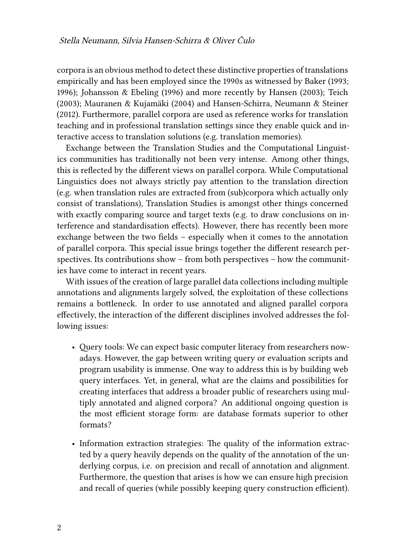corpora is an obvious method to detect these distinctive properties of translations empirically and has been employed since the 1990s as witnessed by [Baker \(1993;](#page-5-3) [1996\)](#page-5-4); [Johansson & Ebeling \(1996\)](#page-5-5) and more recently by [Hansen \(2003\)](#page-5-6); [Teich](#page-6-0) [\(2003](#page-6-0)); [Mauranen & Kujamäki \(2004](#page-5-7)) and [Hansen-Schirra, Neumann & Steiner](#page-5-8) [\(2012\)](#page-5-8). Furthermore, parallel corpora are used as reference works for translation teaching and in professional translation settings since they enable quick and interactive access to translation solutions (e.g. translation memories).

Exchange between the Translation Studies and the Computational Linguistics communities has traditionally not been very intense. Among other things, this is reflected by the different views on parallel corpora. While Computational Linguistics does not always strictly pay attention to the translation direction (e.g. when translation rules are extracted from (sub)corpora which actually only consist of translations), Translation Studies is amongst other things concerned with exactly comparing source and target texts (e.g. to draw conclusions on interference and standardisation effects). However, there has recently been more exchange between the two fields – especially when it comes to the annotation of parallel corpora. This special issue brings together the different research perspectives. Its contributions show – from both perspectives – how the communities have come to interact in recent years.

With issues of the creation of large parallel data collections including multiple annotations and alignments largely solved, the exploitation of these collections remains a bottleneck. In order to use annotated and aligned parallel corpora effectively, the interaction of the different disciplines involved addresses the following issues:

- Query tools: We can expect basic computer literacy from researchers nowadays. However, the gap between writing query or evaluation scripts and program usability is immense. One way to address this is by building web query interfaces. Yet, in general, what are the claims and possibilities for creating interfaces that address a broader public of researchers using multiply annotated and aligned corpora? An additional ongoing question is the most efficient storage form: are database formats superior to other formats?
- Information extraction strategies: The quality of the information extracted by a query heavily depends on the quality of the annotation of the underlying corpus, i.e. on precision and recall of annotation and alignment. Furthermore, the question that arises is how we can ensure high precision and recall of queries (while possibly keeping query construction efficient).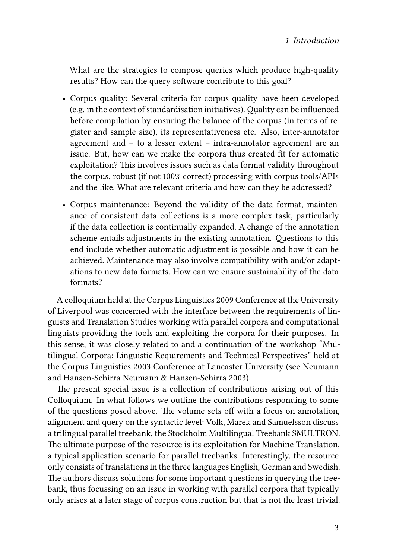What are the strategies to compose queries which produce high-quality results? How can the query software contribute to this goal?

- Corpus quality: Several criteria for corpus quality have been developed (e.g. in the context of standardisation initiatives). Quality can be influenced before compilation by ensuring the balance of the corpus (in terms of register and sample size), its representativeness etc. Also, inter-annotator agreement and – to a lesser extent – intra-annotator agreement are an issue. But, how can we make the corpora thus created fit for automatic exploitation? This involves issues such as data format validity throughout the corpus, robust (if not 100% correct) processing with corpus tools/APIs and the like. What are relevant criteria and how can they be addressed?
- Corpus maintenance: Beyond the validity of the data format, maintenance of consistent data collections is a more complex task, particularly if the data collection is continually expanded. A change of the annotation scheme entails adjustments in the existing annotation. Questions to this end include whether automatic adjustment is possible and how it can be achieved. Maintenance may also involve compatibility with and/or adaptations to new data formats. How can we ensure sustainability of the data formats?

A colloquium held at the Corpus Linguistics 2009 Conference at the University of Liverpool was concerned with the interface between the requirements of linguists and Translation Studies working with parallel corpora and computational linguists providing the tools and exploiting the corpora for their purposes. In this sense, it was closely related to and a continuation of the workshop "Multilingual Corpora: Linguistic Requirements and Technical Perspectives" held at the Corpus Linguistics 2003 Conference at Lancaster University (see Neumann and Hansen-Schirra [Neumann & Hansen-Schirra 2003\)](#page-5-9).

The present special issue is a collection of contributions arising out of this Colloquium. In what follows we outline the contributions responding to some of the questions posed above. The volume sets off with a focus on annotation, alignment and query on the syntactic level: Volk, Marek and Samuelsson discuss a trilingual parallel treebank, the Stockholm Multilingual Treebank SMULTRON. The ultimate purpose of the resource is its exploitation for Machine Translation, a typical application scenario for parallel treebanks. Interestingly, the resource only consists of translations in the three languages English, German and Swedish. The authors discuss solutions for some important questions in querying the treebank, thus focussing on an issue in working with parallel corpora that typically only arises at a later stage of corpus construction but that is not the least trivial.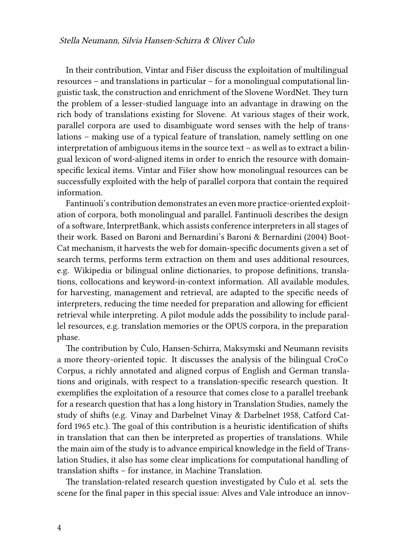In their contribution, Vintar and Fišer discuss the exploitation of multilingual resources – and translations in particular – for a monolingual computational linguistic task, the construction and enrichment of the Slovene WordNet. They turn the problem of a lesser-studied language into an advantage in drawing on the rich body of translations existing for Slovene. At various stages of their work, parallel corpora are used to disambiguate word senses with the help of translations – making use of a typical feature of translation, namely settling on one interpretation of ambiguous items in the source text – as well as to extract a bilingual lexicon of word-aligned items in order to enrich the resource with domainspecific lexical items. Vintar and Fišer show how monolingual resources can be successfully exploited with the help of parallel corpora that contain the required information.

Fantinuoli's contribution demonstrates an even more practice-oriented exploitation of corpora, both monolingual and parallel. Fantinuoli describes the design of a software, InterpretBank, which assists conference interpreters in all stages of their work. Based on Baroni and Bernardini's [Baroni & Bernardini \(2004\)](#page-5-10) Boot-Cat mechanism, it harvests the web for domain-specific documents given a set of search terms, performs term extraction on them and uses additional resources, e.g. Wikipedia or bilingual online dictionaries, to propose definitions, translations, collocations and keyword-in-context information. All available modules, for harvesting, management and retrieval, are adapted to the specific needs of interpreters, reducing the time needed for preparation and allowing for efficient retrieval while interpreting. A pilot module adds the possibility to include parallel resources, e.g. translation memories or the OPUS corpora, in the preparation phase.

The contribution by Čulo, Hansen-Schirra, Maksymski and Neumann revisits a more theory-oriented topic. It discusses the analysis of the bilingual CroCo Corpus, a richly annotated and aligned corpus of English and German translations and originals, with respect to a translation-specific research question. It exemplifies the exploitation of a resource that comes close to a parallel treebank for a research question that has a long history in Translation Studies, namely the study of shifts (e.g. Vinay and Darbelnet [Vinay & Darbelnet 1958](#page-6-1), Catford [Cat](#page-5-11)[ford 1965](#page-5-11) etc.). The goal of this contribution is a heuristic identification of shifts in translation that can then be interpreted as properties of translations. While the main aim of the study is to advance empirical knowledge in the field of Translation Studies, it also has some clear implications for computational handling of translation shifts – for instance, in Machine Translation.

The translation-related research question investigated by Čulo et al. sets the scene for the final paper in this special issue: Alves and Vale introduce an innov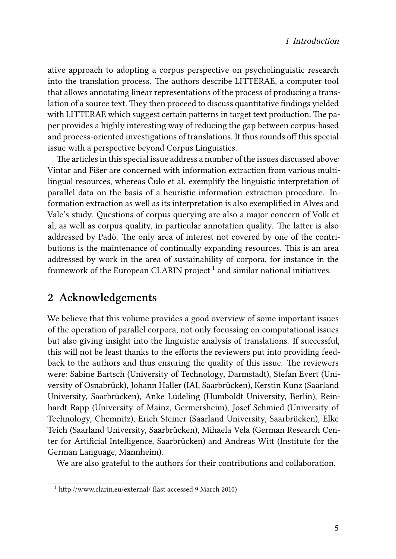ative approach to adopting a corpus perspective on psycholinguistic research into the translation process. The authors describe LITTERAE, a computer tool that allows annotating linear representations of the process of producing a translation of a source text. They then proceed to discuss quantitative findings yielded with LITTERAE which suggest certain patterns in target text production. The paper provides a highly interesting way of reducing the gap between corpus-based and process-oriented investigations of translations. It thus rounds off this special issue with a perspective beyond Corpus Linguistics.

The articles in this special issue address a number of the issues discussed above: Vintar and Fišer are concerned with information extraction from various multilingual resources, whereas Čulo et al. exemplify the linguistic interpretation of parallel data on the basis of a heuristic information extraction procedure. Information extraction as well as its interpretation is also exemplified in Alves and Vale's study. Questions of corpus querying are also a major concern of Volk et al, as well as corpus quality, in particular annotation quality. The latter is also addressed by Padó. The only area of interest not covered by one of the contributions is the maintenance of continually expanding resources. This is an area addressed by work in the area of sustainability of corpora, for instance in the framework of the European CLARIN project  $^1$  and similar national initiatives.

#### **2 Acknowledgements**

We believe that this volume provides a good overview of some important issues of the operation of parallel corpora, not only focussing on computational issues but also giving insight into the linguistic analysis of translations. If successful, this will not be least thanks to the efforts the reviewers put into providing feedback to the authors and thus ensuring the quality of this issue. The reviewers were: Sabine Bartsch (University of Technology, Darmstadt), Stefan Evert (University of Osnabrück), Johann Haller (IAI, Saarbrücken), Kerstin Kunz (Saarland University, Saarbrücken), Anke Lüdeling (Humboldt University, Berlin), Reinhardt Rapp (University of Mainz, Germersheim), Josef Schmied (University of Technology, Chemnitz), Erich Steiner (Saarland University, Saarbrücken), Elke Teich (Saarland University, Saarbrücken), Mihaela Vela (German Research Center for Artificial Intelligence, Saarbrücken) and Andreas Witt (Institute for the German Language, Mannheim).

We are also grateful to the authors for their contributions and collaboration.

<sup>1</sup> http://www.clarin.eu/external/ (last accessed 9 March 2010)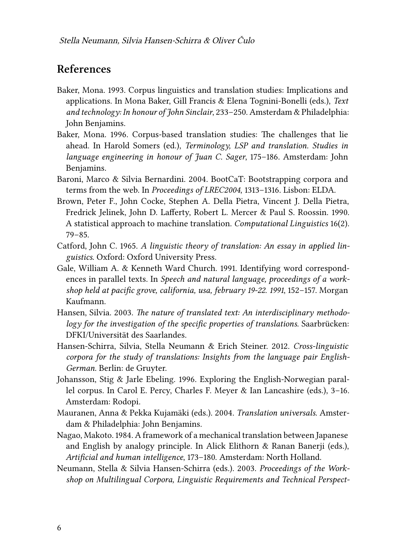#### **References**

- <span id="page-5-3"></span>Baker, Mona. 1993. Corpus linguistics and translation studies: Implications and applications. In Mona Baker, Gill Francis & Elena Tognini-Bonelli (eds.), *Text and technology: In honour of John Sinclair*, 233–250. Amsterdam & Philadelphia: John Benjamins.
- <span id="page-5-4"></span>Baker, Mona. 1996. Corpus-based translation studies: The challenges that lie ahead. In Harold Somers (ed.), *Terminology, LSP and translation. Studies in language engineering in honour of Juan C. Sager*, 175–186. Amsterdam: John Benjamins.
- <span id="page-5-10"></span>Baroni, Marco & Silvia Bernardini. 2004. BootCaT: Bootstrapping corpora and terms from the web. In *Proceedings of LREC2004*, 1313–1316. Lisbon: ELDA.
- <span id="page-5-1"></span>Brown, Peter F., John Cocke, Stephen A. Della Pietra, Vincent J. Della Pietra, Fredrick Jelinek, John D. Lafferty, Robert L. Mercer & Paul S. Roossin. 1990. A statistical approach to machine translation. *Computational Linguistics* 16(2). 79–85.
- <span id="page-5-11"></span>Catford, John C. 1965. *A linguistic theory of translation: An essay in applied linguistics*. Oxford: Oxford University Press.
- <span id="page-5-2"></span>Gale, William A. & Kenneth Ward Church. 1991. Identifying word correspondences in parallel texts. In *Speech and natural language, proceedings of a workshop held at pacific grove, california, usa, february 19-22. 1991*, 152–157. Morgan Kaufmann.
- <span id="page-5-6"></span>Hansen, Silvia. 2003. *The nature of translated text: An interdisciplinary methodology for the investigation of the specific properties of translations*. Saarbrücken: DFKI/Universität des Saarlandes.
- <span id="page-5-8"></span>Hansen-Schirra, Silvia, Stella Neumann & Erich Steiner. 2012. *Cross-linguistic corpora for the study of translations: Insights from the language pair English-German*. Berlin: de Gruyter.
- <span id="page-5-5"></span>Johansson, Stig & Jarle Ebeling. 1996. Exploring the English-Norwegian parallel corpus. In Carol E. Percy, Charles F. Meyer & Ian Lancashire (eds.), 3–16. Amsterdam: Rodopi.
- <span id="page-5-7"></span>Mauranen, Anna & Pekka Kujamäki (eds.). 2004. *Translation universals*. Amsterdam & Philadelphia: John Benjamins.
- <span id="page-5-0"></span>Nagao, Makoto. 1984. A framework of a mechanical translation between Japanese and English by analogy principle. In Alick Elithorn & Ranan Banerji (eds.), *Artificial and human intelligence*, 173–180. Amsterdam: North Holland.
- <span id="page-5-9"></span>Neumann, Stella & Silvia Hansen-Schirra (eds.). 2003. *Proceedings of the Workshop on Multilingual Corpora, Linguistic Requirements and Technical Perspect-*